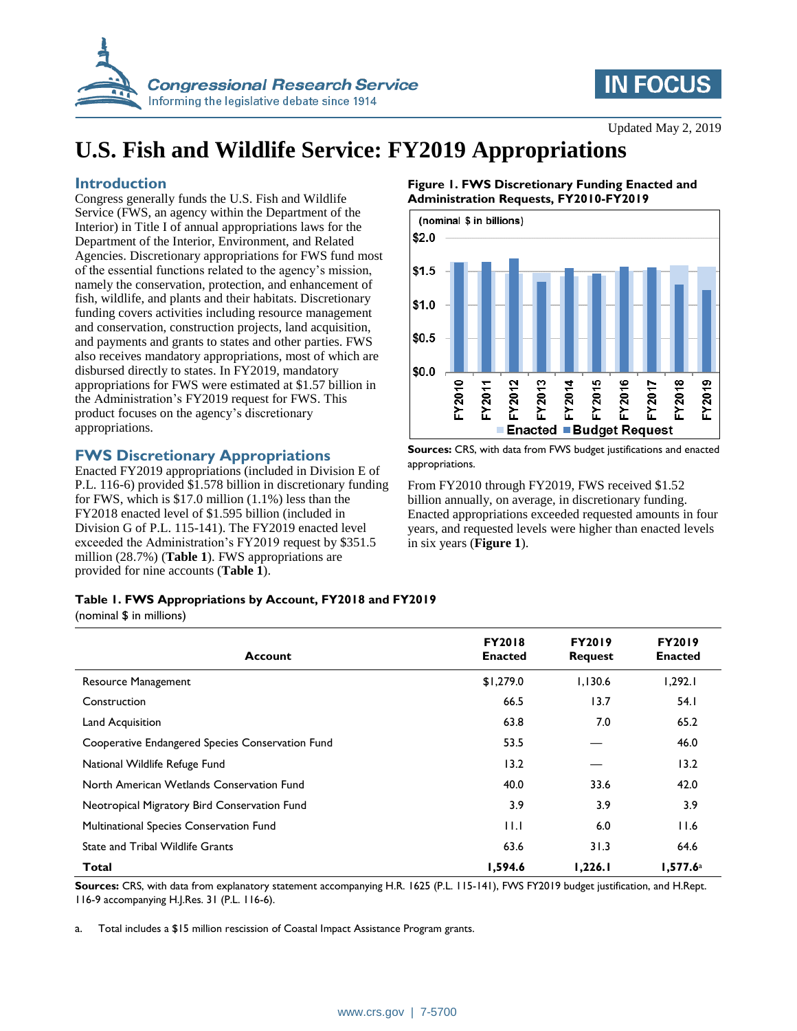

## **IN FOCUS**

# **U.S. Fish and Wildlife Service: FY2019 Appropriations**

## **Introduction**

Congress generally funds the U.S. Fish and Wildlife Service (FWS, an agency within the Department of the Interior) in Title I of annual appropriations laws for the Department of the Interior, Environment, and Related Agencies. Discretionary appropriations for FWS fund most of the essential functions related to the agency's mission, namely the conservation, protection, and enhancement of fish, wildlife, and plants and their habitats. Discretionary funding covers activities including resource management and conservation, construction projects, land acquisition, and payments and grants to states and other parties. FWS also receives mandatory appropriations, most of which are disbursed directly to states. In FY2019, mandatory appropriations for FWS were estimated at \$1.57 billion in the Administration's FY2019 request for FWS. This product focuses on the agency's discretionary appropriations.

## **FWS Discretionary Appropriations**

Enacted FY2019 appropriations (included in Division E of P.L. 116-6) provided \$1.578 billion in discretionary funding for FWS, which is \$17.0 million (1.1%) less than the FY2018 enacted level of \$1.595 billion (included in Division G of P.L. 115-141). The FY2019 enacted level exceeded the Administration's FY2019 request by \$351.5 million (28.7%) (**[Table 1](#page-0-0)**). FWS appropriations are provided for nine accounts (**[Table 1](#page-0-0)**).

### <span id="page-0-1"></span>**Figure 1. FWS Discretionary Funding Enacted and Administration Requests, FY2010-FY2019**



**Sources:** CRS, with data from FWS budget justifications and enacted appropriations.

From FY2010 through FY2019, FWS received \$1.52 billion annually, on average, in discretionary funding. Enacted appropriations exceeded requested amounts in four years, and requested levels were higher than enacted levels in six years (**[Figure 1](#page-0-1)**).

### <span id="page-0-0"></span>**Table 1. FWS Appropriations by Account, FY2018 and FY2019**

(nominal \$ in millions)

| <b>Account</b>                                   | <b>FY2018</b><br><b>Enacted</b> | <b>FY2019</b><br><b>Request</b> | <b>FY2019</b><br><b>Enacted</b> |
|--------------------------------------------------|---------------------------------|---------------------------------|---------------------------------|
| <b>Resource Management</b>                       | \$1,279.0                       | 1.130.6                         | 1,292.1                         |
| Construction                                     | 66.5                            | 13.7                            | 54.1                            |
| Land Acquisition                                 | 63.8                            | 7.0                             | 65.2                            |
| Cooperative Endangered Species Conservation Fund | 53.5                            |                                 | 46.0                            |
| National Wildlife Refuge Fund                    | 13.2                            |                                 | 13.2                            |
| North American Wetlands Conservation Fund        | 40.0                            | 33.6                            | 42.0                            |
| Neotropical Migratory Bird Conservation Fund     | 3.9                             | 3.9                             | 3.9                             |
| Multinational Species Conservation Fund          | 11.1                            | 6.0                             | 11.6                            |
| <b>State and Tribal Wildlife Grants</b>          | 63.6                            | 31.3                            | 64.6                            |
| Total                                            | 1.594.6                         | 1.226.1                         | 1.577.6a                        |

**Sources:** CRS, with data from explanatory statement accompanying H.R. 1625 (P.L. 115-141), FWS FY2019 budget justification, and H.Rept. 116-9 accompanying H.J.Res. 31 (P.L. 116-6).

<span id="page-0-2"></span>a. Total includes a \$15 million rescission of Coastal Impact Assistance Program grants.